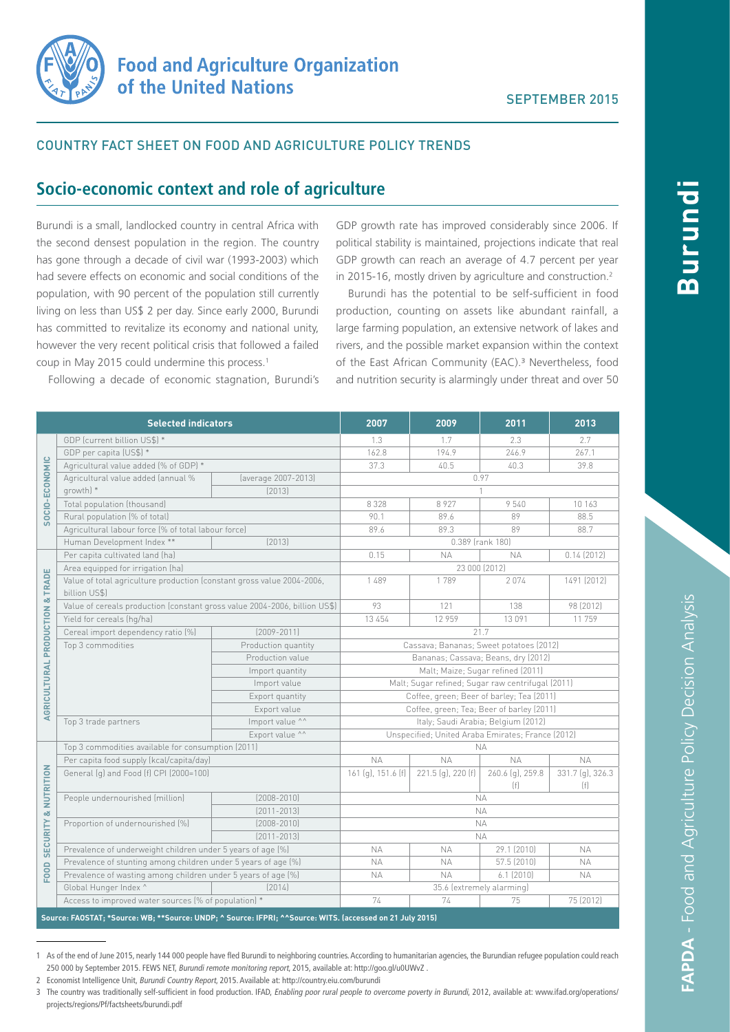

# COUNTRY FACT SHEET ON FOOD AND AGRICULTURE POLICY TRENDS

# **Socio-economic context and role of agriculture**

Burundi is a small, landlocked country in central Africa with the second densest population in the region. The country has gone through a decade of civil war (1993-2003) which had severe effects on economic and social conditions of the population, with 90 percent of the population still currently living on less than US\$ 2 per day. Since early 2000, Burundi has committed to revitalize its economy and national unity, however the very recent political crisis that followed a failed coup in May 2015 could undermine this process.1

GDP growth rate has improved considerably since 2006. If political stability is maintained, projections indicate that real GDP growth can reach an average of 4.7 percent per year in 2015-16, mostly driven by agriculture and construction.<sup>2</sup>

Burundi has the potential to be self-sufficient in food production, counting on assets like abundant rainfall, a large farming population, an extensive network of lakes and rivers, and the possible market expansion within the context of the East African Community (EAC).<sup>3</sup> Nevertheless, food and nutrition security is alarmingly under threat and over 50

Following a decade of economic stagnation, Burundi's

| <b>Selected indicators</b>                                                                                |                                                                                         |                     | 2007                                              | 2009               | 2011                    | 2013                    |
|-----------------------------------------------------------------------------------------------------------|-----------------------------------------------------------------------------------------|---------------------|---------------------------------------------------|--------------------|-------------------------|-------------------------|
| SOCIO-ECONOMIC                                                                                            | GDP (current billion US\$) *                                                            |                     | 1.3                                               | 1.7                | 2.3                     | 2.7                     |
|                                                                                                           | GDP per capita (US\$) *                                                                 |                     | 162.8                                             | 194.9              | 246.9                   | 267.1                   |
|                                                                                                           | Agricultural value added (% of GDP) *                                                   |                     | 37.3                                              | 40.5               | 40.3                    | 39.8                    |
|                                                                                                           | Agricultural value added (annual %                                                      | (average 2007-2013) | 0.97                                              |                    |                         |                         |
|                                                                                                           | growth) *                                                                               | [2013]              |                                                   |                    |                         |                         |
|                                                                                                           | Total population (thousand)                                                             |                     | 8 3 2 8                                           | 8927               | 9540                    | 10 163                  |
|                                                                                                           | Rural population (% of total)                                                           |                     | 90.1                                              | 89.6               | 89                      | 88.5                    |
|                                                                                                           | Agricultural labour force (% of total labour force)                                     |                     | 89.6                                              | 89.3               | 89                      | 88.7                    |
|                                                                                                           | Human Development Index **<br>[2013]                                                    |                     | 0.389 (rank 180)                                  |                    |                         |                         |
| AGRICULTURAL PRODUCTION & TRADE                                                                           | Per capita cultivated land (ha)                                                         |                     | 0.15                                              | <b>NA</b>          | <b>NA</b>               | 0.14(2012)              |
|                                                                                                           | Area equipped for irrigation (ha)                                                       |                     | 23 000 (2012)                                     |                    |                         |                         |
|                                                                                                           | Value of total agriculture production (constant gross value 2004-2006,<br>billion US\$) |                     | 1489                                              | 1789               | 2074                    | 1491 (2012)             |
|                                                                                                           | Value of cereals production (constant gross value 2004-2006, billion US\$)              |                     | 93                                                | 121                | 138                     | 98 (2012)               |
|                                                                                                           | Yield for cereals (hg/ha)                                                               |                     | 13 45 4                                           | 12 9 5 9           | 13091                   | 11759                   |
|                                                                                                           | Cereal import dependency ratio [%]                                                      | $[2009 - 2011]$     | 21.7                                              |                    |                         |                         |
|                                                                                                           | Top 3 commodities                                                                       | Production quantity | Cassava; Bananas; Sweet potatoes (2012)           |                    |                         |                         |
|                                                                                                           |                                                                                         | Production value    | Bananas; Cassava; Beans, dry (2012)               |                    |                         |                         |
|                                                                                                           |                                                                                         | Import quantity     | Malt; Maize; Sugar refined (2011)                 |                    |                         |                         |
|                                                                                                           |                                                                                         | Import value        | Malt; Sugar refined; Sugar raw centrifugal (2011) |                    |                         |                         |
|                                                                                                           |                                                                                         | Export quantity     | Coffee, green; Beer of barley; Tea (2011)         |                    |                         |                         |
|                                                                                                           |                                                                                         | Export value        | Coffee, green; Tea; Beer of barley (2011)         |                    |                         |                         |
|                                                                                                           | Import value ^^<br>Top 3 trade partners<br>Export value ^^                              |                     | Italy; Saudi Arabia; Belgium (2012)               |                    |                         |                         |
|                                                                                                           |                                                                                         |                     | Unspecified; United Araba Emirates; France (2012) |                    |                         |                         |
| <b>SECURITY &amp; NUTRITION</b><br>FOOD                                                                   | Top 3 commodities available for consumption (2011)                                      |                     |                                                   |                    | <b>NA</b>               |                         |
|                                                                                                           | Per capita food supply (kcal/capita/day)                                                |                     | <b>NA</b>                                         | <b>NA</b>          | <b>NA</b>               | <b>NA</b>               |
|                                                                                                           | General (g) and Food (f) CPI (2000=100)                                                 |                     | 161 (g), 151.6 (f)                                | 221.5 (g), 220 (f) | 260.6 (g), 259.8<br>(f) | 331.7 (g), 326.3<br>(f) |
|                                                                                                           | People undernourished (million)                                                         | $(2008 - 2010)$     | <b>NA</b>                                         |                    |                         |                         |
|                                                                                                           |                                                                                         | $[2011 - 2013]$     | <b>NA</b>                                         |                    |                         |                         |
|                                                                                                           | Proportion of undernourished (%)                                                        | $(2008 - 2010)$     | <b>NA</b>                                         |                    |                         |                         |
|                                                                                                           |                                                                                         | $[2011 - 2013]$     | <b>NA</b>                                         |                    |                         |                         |
|                                                                                                           | Prevalence of underweight children under 5 years of age (%)                             |                     | <b>NA</b>                                         | <b>NA</b>          | 29.1 (2010)             | <b>NA</b>               |
|                                                                                                           | Prevalence of stunting among children under 5 years of age (%)                          |                     | <b>NA</b>                                         | <b>NA</b>          | 57.5 (2010)             | ΝA                      |
|                                                                                                           | Prevalence of wasting among children under 5 years of age (%)                           |                     | <b>NA</b>                                         | <b>NA</b>          | $6.1$ (2010)            | <b>NA</b>               |
|                                                                                                           | Global Hunger Index ^                                                                   | [2014]              | 35.6 (extremely alarming)                         |                    |                         |                         |
|                                                                                                           | Access to improved water sources (% of population) *                                    |                     | 74                                                | 74                 | 75                      | 75 (2012)               |
| Source: FAOSTAT; *Source: WB; **Source: UNDP; ^ Source: IFPRI; ^^Source: WITS. (accessed on 21 July 2015) |                                                                                         |                     |                                                   |                    |                         |                         |

<sup>1</sup> As of the end of June 2015, nearly 144 000 people have fled Burundi to neighboring countries. According to humanitarian agencies, the Burundian refugee population could reach 250 000 by September 2015. FEWS NET, Burundi remote monitoring report, 2015, available at: http://goo.gl/u0UWvZ .

2 Economist Intelligence Unit, Burundi Country Report, 2015. Available at: http://country.eiu.com/burundi

**Burundi**

rundi

<sup>3</sup> The country was traditionally self-sufficient in food production. IFAD, Enabling poor rural people to overcome poverty in Burundi, 2012, available at: www.ifad.org/operations/ projects/regions/Pf/factsheets/burundi.pdf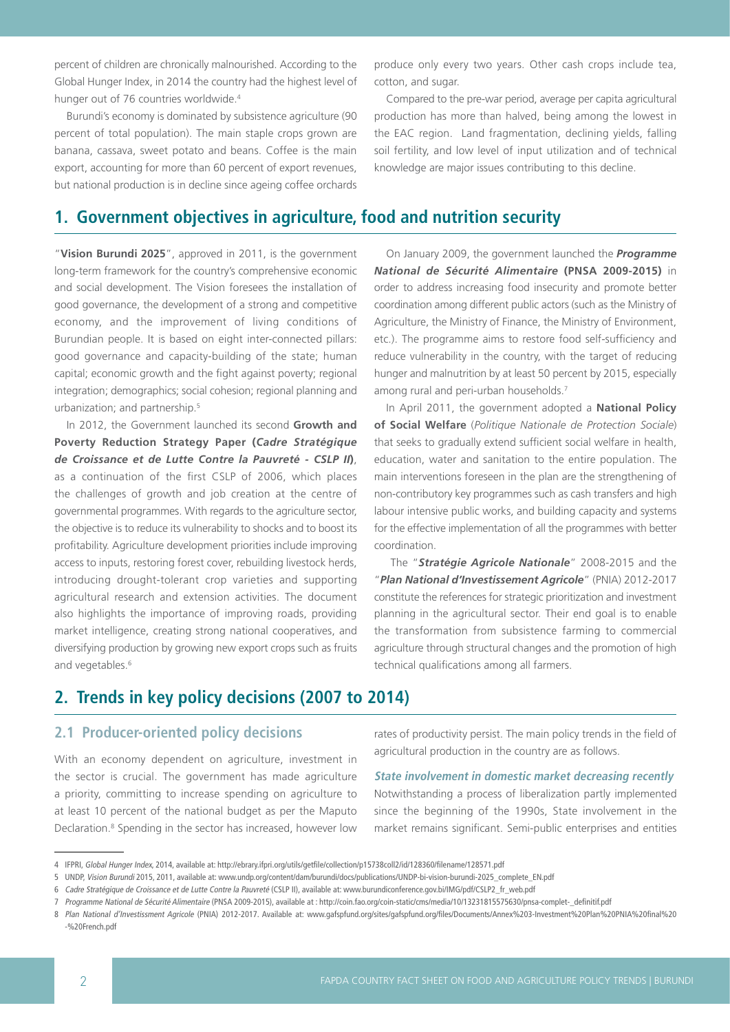percent of children are chronically malnourished. According to the Global Hunger Index, in 2014 the country had the highest level of hunger out of 76 countries worldwide.<sup>4</sup>

Burundi's economy is dominated by subsistence agriculture (90 percent of total population). The main staple crops grown are banana, cassava, sweet potato and beans. Coffee is the main export, accounting for more than 60 percent of export revenues, but national production is in decline since ageing coffee orchards

# **1. Government objectives in agriculture, food and nutrition security**

"**Vision Burundi 2025**", approved in 2011, is the government long-term framework for the country's comprehensive economic and social development. The Vision foresees the installation of good governance, the development of a strong and competitive economy, and the improvement of living conditions of Burundian people. It is based on eight inter-connected pillars: good governance and capacity-building of the state; human capital; economic growth and the fight against poverty; regional integration; demographics; social cohesion; regional planning and urbanization; and partnership.<sup>5</sup>

In 2012, the Government launched its second **Growth and Poverty Reduction Strategy Paper (***Cadre Stratégique de Croissance et de Lutte Contre la Pauvreté - CSLP II***)**, as a continuation of the first CSLP of 2006, which places the challenges of growth and job creation at the centre of governmental programmes. With regards to the agriculture sector, the objective is to reduce its vulnerability to shocks and to boost its profitability. Agriculture development priorities include improving access to inputs, restoring forest cover, rebuilding livestock herds, introducing drought-tolerant crop varieties and supporting agricultural research and extension activities. The document also highlights the importance of improving roads, providing market intelligence, creating strong national cooperatives, and diversifying production by growing new export crops such as fruits and vegetables.<sup>6</sup>

produce only every two years. Other cash crops include tea, cotton, and sugar.

Compared to the pre-war period, average per capita agricultural production has more than halved, being among the lowest in the EAC region. Land fragmentation, declining yields, falling soil fertility, and low level of input utilization and of technical knowledge are major issues contributing to this decline.

On January 2009, the government launched the *Programme National de Sécurité Alimentaire* **(PNSA 2009-2015)** in order to address increasing food insecurity and promote better coordination among different public actors (such as the Ministry of Agriculture, the Ministry of Finance, the Ministry of Environment, etc.). The programme aims to restore food self-sufficiency and reduce vulnerability in the country, with the target of reducing hunger and malnutrition by at least 50 percent by 2015, especially among rural and peri-urban households.7

In April 2011, the government adopted a **National Policy of Social Welfare** (*Politique Nationale de Protection Sociale*) that seeks to gradually extend sufficient social welfare in health, education, water and sanitation to the entire population. The main interventions foreseen in the plan are the strengthening of non-contributory key programmes such as cash transfers and high labour intensive public works, and building capacity and systems for the effective implementation of all the programmes with better coordination.

 The "*Stratégie Agricole Nationale*" 2008-2015 and the "*Plan National d'Investissement Agricole*" (PNIA) 2012-2017 constitute the references for strategic prioritization and investment planning in the agricultural sector. Their end goal is to enable the transformation from subsistence farming to commercial agriculture through structural changes and the promotion of high technical qualifications among all farmers.

# **2. Trends in key policy decisions (2007 to 2014)**

# **2.1 Producer-oriented policy decisions**

With an economy dependent on agriculture, investment in the sector is crucial. The government has made agriculture a priority, committing to increase spending on agriculture to at least 10 percent of the national budget as per the Maputo Declaration.<sup>8</sup> Spending in the sector has increased, however low rates of productivity persist. The main policy trends in the field of agricultural production in the country are as follows.

### **State involvement in domestic market decreasing recently**

Notwithstanding a process of liberalization partly implemented since the beginning of the 1990s, State involvement in the market remains significant. Semi-public enterprises and entities

5 UNDP, Vision Burundi 2015, 2011, available at: www.undp.org/content/dam/burundi/docs/publications/UNDP-bi-vision-burundi-2025\_complete\_EN.pdf

<sup>4</sup> IFPRI, Global Hunger Index, 2014, available at: http://ebrary.ifpri.org/utils/getfile/collection/p15738coll2/id/128360/filename/128571.pdf

<sup>6</sup> Cadre Stratégique de Croissance et de Lutte Contre la Pauvreté (CSLP II), available at: www.burundiconference.gov.bi/IMG/pdf/CSLP2\_fr\_web.pdf

<sup>7</sup> Programme National de Sécurité Alimentaire (PNSA 2009-2015), available at : http://coin.fao.org/coin-static/cms/media/10/13231815575630/pnsa-complet-\_definitif.pdf

<sup>8</sup> Plan National d'Investissment Agricole (PNIA) 2012-2017. Available at: www.gafspfund.org/sites/gafspfund.org/files/Documents/Annex%203-Investment%20Plan%20PNIA%20final%20 -%20French.pdf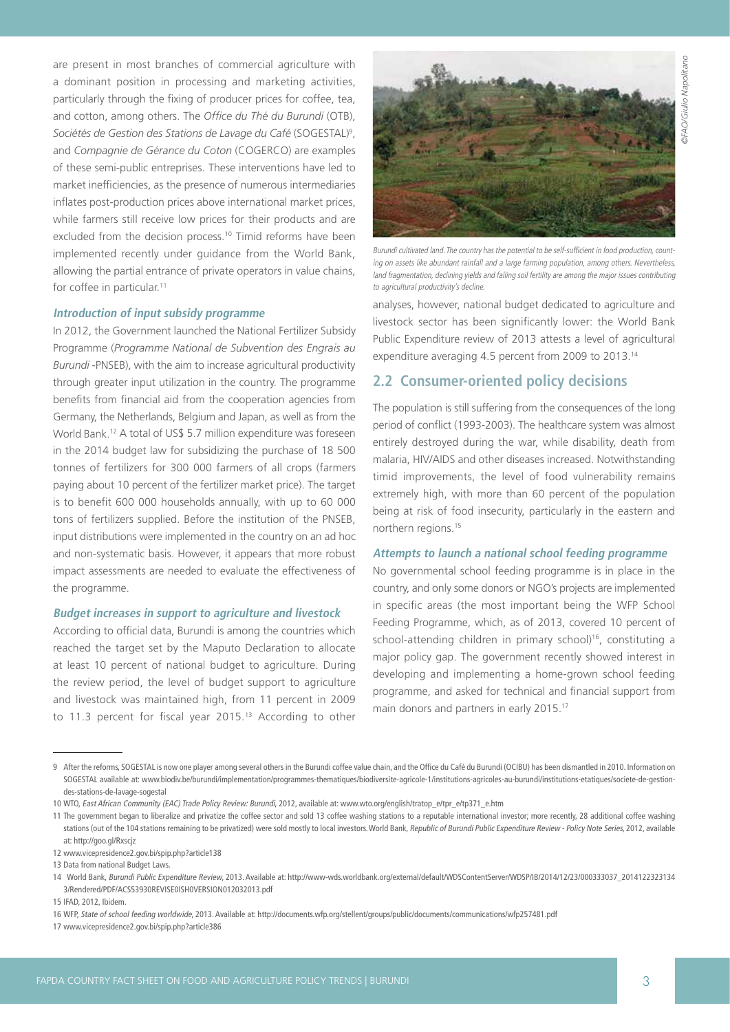@FAO/Giulio Napolitano ©FAO/Giulio Napolitano

are present in most branches of commercial agriculture with a dominant position in processing and marketing activities, particularly through the fixing of producer prices for coffee, tea, and cotton, among others. The *Office du Thé du Burundi* (OTB), Sociétés de Gestion des Stations de Lavage du Café (SOGESTAL)<sup>9</sup>, and *Compagnie de Gérance du Coton* (COGERCO) are examples of these semi-public entreprises. These interventions have led to market inefficiencies, as the presence of numerous intermediaries inflates post-production prices above international market prices, while farmers still receive low prices for their products and are excluded from the decision process.<sup>10</sup> Timid reforms have been implemented recently under guidance from the World Bank, allowing the partial entrance of private operators in value chains, for coffee in particular.<sup>11</sup>

### **Introduction of input subsidy programme**

In 2012, the Government launched the National Fertilizer Subsidy Programme (*Programme National de Subvention des Engrais au Burundi* -PNSEB), with the aim to increase agricultural productivity through greater input utilization in the country. The programme benefits from financial aid from the cooperation agencies from Germany, the Netherlands, Belgium and Japan, as well as from the World Bank.12 A total of US\$ 5.7 million expenditure was foreseen in the 2014 budget law for subsidizing the purchase of 18 500 tonnes of fertilizers for 300 000 farmers of all crops (farmers paying about 10 percent of the fertilizer market price). The target is to benefit 600 000 households annually, with up to 60 000 tons of fertilizers supplied. Before the institution of the PNSEB, input distributions were implemented in the country on an ad hoc and non-systematic basis. However, it appears that more robust impact assessments are needed to evaluate the effectiveness of the programme.

## **Budget increases in support to agriculture and livestock**

According to official data, Burundi is among the countries which reached the target set by the Maputo Declaration to allocate at least 10 percent of national budget to agriculture. During the review period, the level of budget support to agriculture and livestock was maintained high, from 11 percent in 2009 to 11.3 percent for fiscal year 2015.13 According to other



Burundi cultivated land. The country has the potential to be self-sufficient in food production, counting on assets like abundant rainfall and a large farming population, among others. Nevertheless, land fragmentation, declining yields and falling soil fertility are among the major issues contributing to agricultural productivity's decline.

analyses, however, national budget dedicated to agriculture and livestock sector has been significantly lower: the World Bank Public Expenditure review of 2013 attests a level of agricultural expenditure averaging 4.5 percent from 2009 to 2013.14

# **2.2 Consumer-oriented policy decisions**

The population is still suffering from the consequences of the long period of conflict (1993-2003). The healthcare system was almost entirely destroyed during the war, while disability, death from malaria, HIV/AIDS and other diseases increased. Notwithstanding timid improvements, the level of food vulnerability remains extremely high, with more than 60 percent of the population being at risk of food insecurity, particularly in the eastern and northern regions.15

### **Attempts to launch a national school feeding programme**

No governmental school feeding programme is in place in the country, and only some donors or NGO's projects are implemented in specific areas (the most important being the WFP School Feeding Programme, which, as of 2013, covered 10 percent of school-attending children in primary school)<sup>16</sup>, constituting a major policy gap. The government recently showed interest in developing and implementing a home-grown school feeding programme, and asked for technical and financial support from main donors and partners in early 2015.17

<sup>9</sup> After the reforms, SOGESTAL is now one player among several others in the Burundi coffee value chain, and the Office du Café du Burundi (OCIBU) has been dismantled in 2010. Information on SOGESTAL available at: www.biodiv.be/burundi/implementation/programmes-thematiques/biodiversite-agricole-1/institutions-agricoles-au-burundi/institutions-etatiques/societe-de-gestiondes-stations-de-lavage-sogestal

<sup>10</sup> WTO, East African Community (EAC) Trade Policy Review: Burundi, 2012, available at: www.wto.org/english/tratop\_e/tpr\_e/tp371\_e.htm

<sup>11</sup> The government began to liberalize and privatize the coffee sector and sold 13 coffee washing stations to a reputable international investor; more recently, 28 additional coffee washing stations (out of the 104 stations remaining to be privatized) were sold mostly to local investors. World Bank, Republic of Burundi Public Expenditure Review - Policy Note Series, 2012, available at: http://goo.gl/Rxscjz

<sup>12</sup> www.vicepresidence2.gov.bi/spip.php?article138

<sup>13</sup> Data from national Budget Laws.

<sup>14</sup> World Bank, Burundi Public Expenditure Review, 2013. Available at: http://www-wds.worldbank.org/external/default/WDSContentServer/WDSP/IB/2014/12/23/000333037\_2014122323134 3/Rendered/PDF/ACS53930REVISE0ISH0VERSION012032013.pdf

<sup>15</sup> IFAD, 2012, Ibidem.

<sup>16</sup> WFP, State of school feeding worldwide, 2013. Available at: http://documents.wfp.org/stellent/groups/public/documents/communications/wfp257481.pdf

<sup>17</sup> www.vicepresidence2.gov.bi/spip.php?article386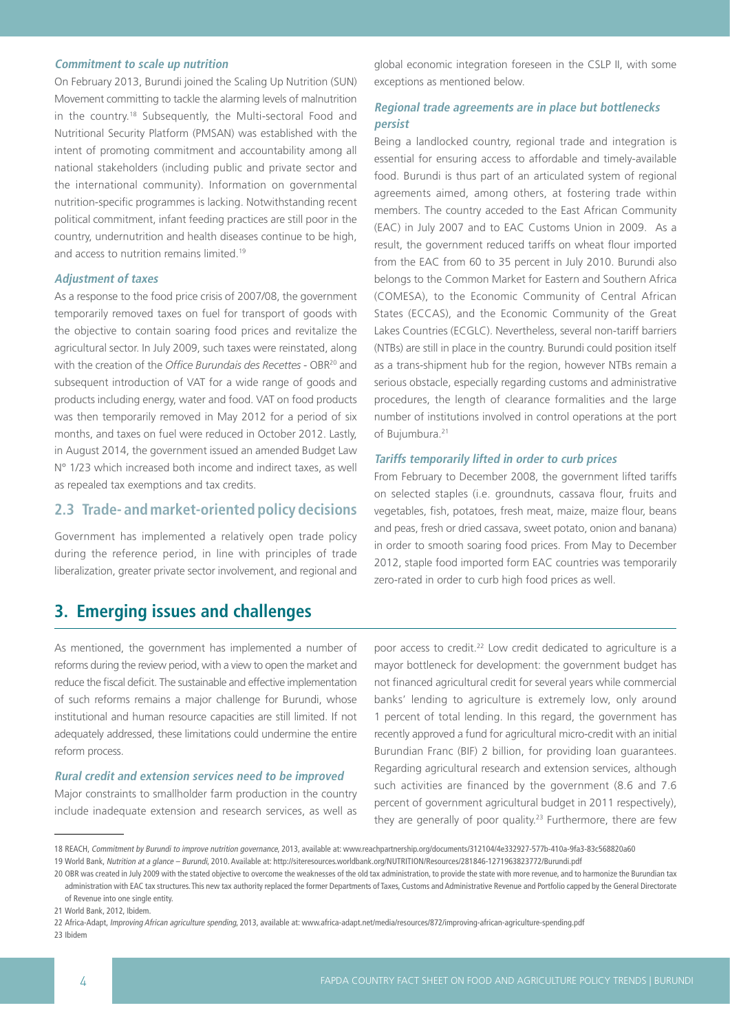### **Commitment to scale up nutrition**

On February 2013, Burundi joined the Scaling Up Nutrition (SUN) Movement committing to tackle the alarming levels of malnutrition in the country.18 Subsequently, the Multi-sectoral Food and Nutritional Security Platform (PMSAN) was established with the intent of promoting commitment and accountability among all national stakeholders (including public and private sector and the international community). Information on governmental nutrition-specific programmes is lacking. Notwithstanding recent political commitment, infant feeding practices are still poor in the country, undernutrition and health diseases continue to be high, and access to nutrition remains limited.<sup>19</sup>

### **Adjustment of taxes**

As a response to the food price crisis of 2007/08, the government temporarily removed taxes on fuel for transport of goods with the objective to contain soaring food prices and revitalize the agricultural sector. In July 2009, such taxes were reinstated, along with the creation of the *Office Burundais des Recettes* - OBR20 and subsequent introduction of VAT for a wide range of goods and products including energy, water and food. VAT on food products was then temporarily removed in May 2012 for a period of six months, and taxes on fuel were reduced in October 2012. Lastly, in August 2014, the government issued an amended Budget Law N° 1/23 which increased both income and indirect taxes, as well as repealed tax exemptions and tax credits.

# **2.3 Trade- and market-oriented policy decisions**

Government has implemented a relatively open trade policy during the reference period, in line with principles of trade liberalization, greater private sector involvement, and regional and

# **3. Emerging issues and challenges**

global economic integration foreseen in the CSLP II, with some exceptions as mentioned below.

## **Regional trade agreements are in place but bottlenecks persist**

Being a landlocked country, regional trade and integration is essential for ensuring access to affordable and timely-available food. Burundi is thus part of an articulated system of regional agreements aimed, among others, at fostering trade within members. The country acceded to the East African Community (EAC) in July 2007 and to EAC Customs Union in 2009. As a result, the government reduced tariffs on wheat flour imported from the EAC from 60 to 35 percent in July 2010. Burundi also belongs to the Common Market for Eastern and Southern Africa (COMESA), to the Economic Community of Central African States (ECCAS), and the Economic Community of the Great Lakes Countries (ECGLC). Nevertheless, several non-tariff barriers (NTBs) are still in place in the country. Burundi could position itself as a trans-shipment hub for the region, however NTBs remain a serious obstacle, especially regarding customs and administrative procedures, the length of clearance formalities and the large number of institutions involved in control operations at the port of Bujumbura.<sup>21</sup>

#### **Tariffs temporarily lifted in order to curb prices**

From February to December 2008, the government lifted tariffs on selected staples (i.e. groundnuts, cassava flour, fruits and vegetables, fish, potatoes, fresh meat, maize, maize flour, beans and peas, fresh or dried cassava, sweet potato, onion and banana) in order to smooth soaring food prices. From May to December 2012, staple food imported form EAC countries was temporarily zero-rated in order to curb high food prices as well.

As mentioned, the government has implemented a number of reforms during the review period, with a view to open the market and reduce the fiscal deficit. The sustainable and effective implementation of such reforms remains a major challenge for Burundi, whose institutional and human resource capacities are still limited. If not adequately addressed, these limitations could undermine the entire reform process.

### **Rural credit and extension services need to be improved**

Major constraints to smallholder farm production in the country include inadequate extension and research services, as well as poor access to credit.<sup>22</sup> Low credit dedicated to agriculture is a mayor bottleneck for development: the government budget has not financed agricultural credit for several years while commercial banks' lending to agriculture is extremely low, only around 1 percent of total lending. In this regard, the government has recently approved a fund for agricultural micro-credit with an initial Burundian Franc (BIF) 2 billion, for providing loan guarantees. Regarding agricultural research and extension services, although such activities are financed by the government (8.6 and 7.6 percent of government agricultural budget in 2011 respectively), they are generally of poor quality.<sup>23</sup> Furthermore, there are few

<sup>18</sup> REACH, Commitment by Burundi to improve nutrition governance, 2013, available at: www.reachpartnership.org/documents/312104/4e332927-577b-410a-9fa3-83c568820a60

<sup>19</sup> World Bank, Nutrition at a glance – Burundi, 2010. Available at: http://siteresources.worldbank.org/NUTRITION/Resources/281846-1271963823772/Burundi.pdf

<sup>20</sup> OBR was created in July 2009 with the stated objective to overcome the weaknesses of the old tax administration, to provide the state with more revenue, and to harmonize the Burundian tax administration with EAC tax structures. This new tax authority replaced the former Departments of Taxes, Customs and Administrative Revenue and Portfolio capped by the General Directorate of Revenue into one single entity.

<sup>21</sup> World Bank, 2012, Ibidem.

<sup>22</sup> Africa-Adapt, Improving African agriculture spending, 2013, available at: www.africa-adapt.net/media/resources/872/improving-african-agriculture-spending.pdf

<sup>23</sup> Ibidem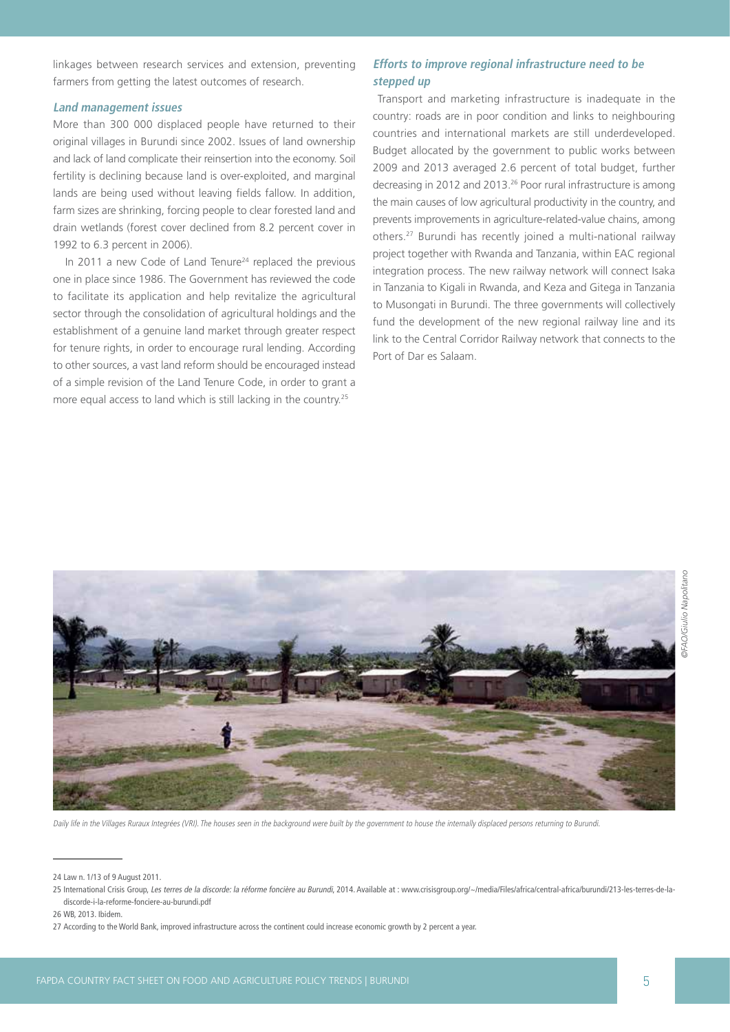linkages between research services and extension, preventing farmers from getting the latest outcomes of research.

## **Land management issues**

More than 300 000 displaced people have returned to their original villages in Burundi since 2002. Issues of land ownership and lack of land complicate their reinsertion into the economy. Soil fertility is declining because land is over-exploited, and marginal lands are being used without leaving fields fallow. In addition, farm sizes are shrinking, forcing people to clear forested land and drain wetlands (forest cover declined from 8.2 percent cover in 1992 to 6.3 percent in 2006).

In 2011 a new Code of Land Tenure<sup>24</sup> replaced the previous one in place since 1986. The Government has reviewed the code to facilitate its application and help revitalize the agricultural sector through the consolidation of agricultural holdings and the establishment of a genuine land market through greater respect for tenure rights, in order to encourage rural lending. According to other sources, a vast land reform should be encouraged instead of a simple revision of the Land Tenure Code, in order to grant a more equal access to land which is still lacking in the country.25

## **Efforts to improve regional infrastructure need to be stepped up**

 Transport and marketing infrastructure is inadequate in the country: roads are in poor condition and links to neighbouring countries and international markets are still underdeveloped. Budget allocated by the government to public works between 2009 and 2013 averaged 2.6 percent of total budget, further decreasing in 2012 and 2013.26 Poor rural infrastructure is among the main causes of low agricultural productivity in the country, and prevents improvements in agriculture-related-value chains, among others.27 Burundi has recently joined a multi-national railway project together with Rwanda and Tanzania, within EAC regional integration process. The new railway network will connect Isaka in Tanzania to Kigali in Rwanda, and Keza and Gitega in Tanzania to Musongati in Burundi. The three governments will collectively fund the development of the new regional railway line and its link to the Central Corridor Railway network that connects to the Port of Dar es Salaam.



Daily life in the Villages Ruraux Integrées (VRI). The houses seen in the background were built by the government to house the internally displaced persons returning to Burundi.

<sup>24</sup> Law n. 1/13 of 9 August 2011.

<sup>25</sup> International Crisis Group, Les terres de la discorde: la réforme foncière au Burundi, 2014. Available at : www.crisisgroup.org/~/media/Files/africa/central-africa/burundi/213-les-terres-de-ladiscorde-i-la-reforme-fonciere-au-burundi.pdf

<sup>26</sup> WB, 2013. Ibidem.

<sup>27</sup> According to the World Bank, improved infrastructure across the continent could increase economic growth by 2 percent a year.